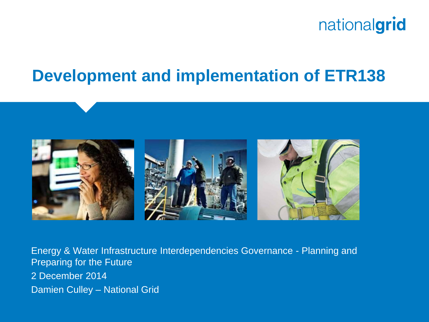

## **Development and implementation of ETR138**



Energy & Water Infrastructure Interdependencies Governance - Planning and Preparing for the Future 2 December 2014 Damien Culley – National Grid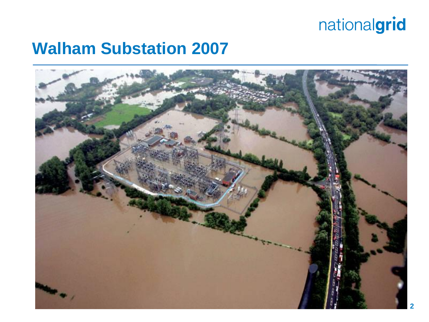### **Walham Substation 2007**

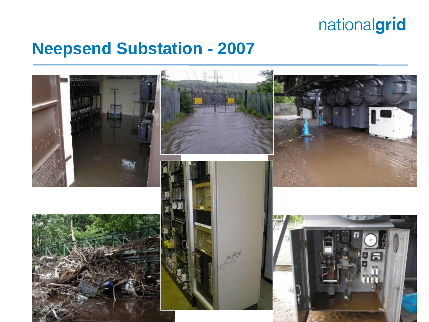### **Neepsend Substation - 2007**

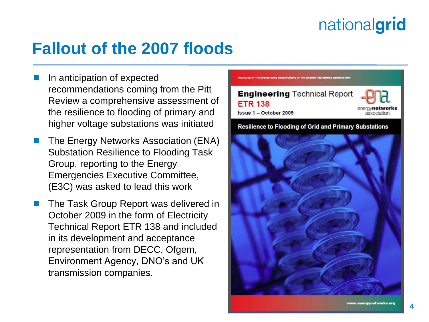## **Fallout of the 2007 floods**

- In anticipation of expected recommendations coming from the Pitt Review a comprehensive assessment of the resilience to flooding of primary and higher voltage substations was initiated
- The Energy Networks Association (ENA) Substation Resilience to Flooding Task Group, reporting to the Energy Emergencies Executive Committee, (E3C) was asked to lead this work
- The Task Group Report was delivered in October 2009 in the form of Electricity Technical Report ETR 138 and included in its development and acceptance representation from DECC, Ofgem, Environment Agency, DNO's and UK transmission companies.



Resilience to Flooding of Grid and Primary Substations

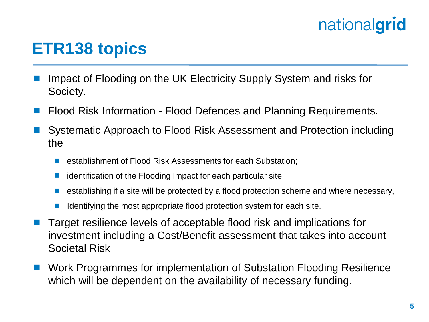## **ETR138 topics**

- Impact of Flooding on the UK Electricity Supply System and risks for Society.
- Flood Risk Information Flood Defences and Planning Requirements.
- Systematic Approach to Flood Risk Assessment and Protection including the
	- establishment of Flood Risk Assessments for each Substation;
	- identification of the Flooding Impact for each particular site:
	- establishing if a site will be protected by a flood protection scheme and where necessary,
	- Identifying the most appropriate flood protection system for each site.
- Target resilience levels of acceptable flood risk and implications for investment including a Cost/Benefit assessment that takes into account Societal Risk
- Work Programmes for implementation of Substation Flooding Resilience which will be dependent on the availability of necessary funding.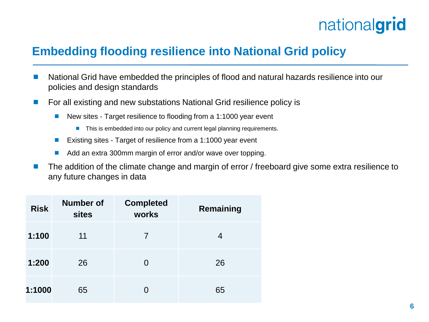#### **Embedding flooding resilience into National Grid policy**

- National Grid have embedded the principles of flood and natural hazards resilience into our policies and design standards
- For all existing and new substations National Grid resilience policy is
	- New sites Target resilience to flooding from a 1:1000 year event
		- This is embedded into our policy and current legal planning requirements.
	- Existing sites Target of resilience from a 1:1000 year event
	- Add an extra 300mm margin of error and/or wave over topping.
- The addition of the climate change and margin of error / freeboard give some extra resilience to any future changes in data

| <b>Risk</b> | <b>Number of</b><br><b>sites</b> | <b>Completed</b><br>works | Remaining |
|-------------|----------------------------------|---------------------------|-----------|
| 1:100       | 11                               |                           |           |
| 1:200       | 26                               | O                         | 26        |
| 1:1000      | 65                               | O                         | 65        |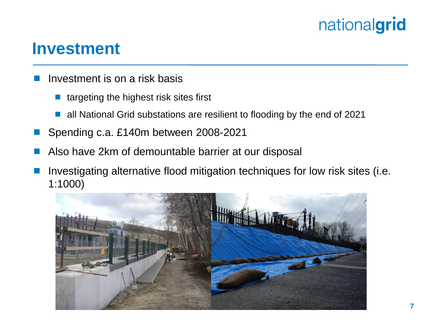#### **Investment**

- Investment is on a risk basis
	- targeting the highest risk sites first
	- all National Grid substations are resilient to flooding by the end of 2021
- Spending c.a. £140m between 2008-2021
- Also have 2km of demountable barrier at our disposal
- Investigating alternative flood mitigation techniques for low risk sites (i.e. 1:1000)